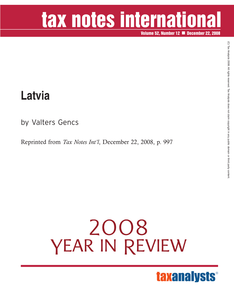# tax notes international

**Volume 52, Number 12 December 22, 2008**

### **Latvia**

by Valters Gencs

Reprinted from *Tax Notes Int'l*, December 22, 2008, p. 997

# 2008 YEAR IN REVIEW